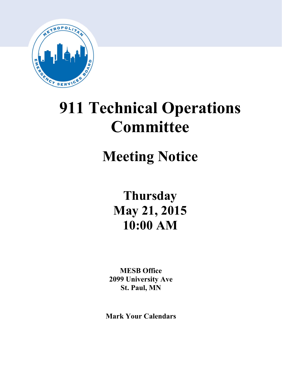

# **911 Technical Operations Committee**

# **Meeting Notice**

**Thursday May 21, 2015 10:00 AM**

**MESB Office 2099 University Ave St. Paul, MN**

**Mark Your Calendars**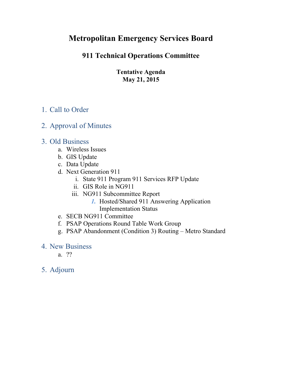# **Metropolitan Emergency Services Board**

## **911 Technical Operations Committee**

**Tentative Agenda May 21, 2015**

## 1. Call to Order

### 2. Approval of Minutes

### 3. Old Business

- a. Wireless Issues
- b. GIS Update
- c. Data Update
- d. Next Generation 911
	- i. State 911 Program 911 Services RFP Update
	- ii. GIS Role in NG911
	- iii. NG911 Subcommittee Report
		- *1.* Hosted/Shared 911 Answering Application Implementation Status
- e. SECB NG911 Committee
- f. PSAP Operations Round Table Work Group
- g. PSAP Abandonment (Condition 3) Routing Metro Standard
- 4. New Business
	- a. ??
- 5. Adjourn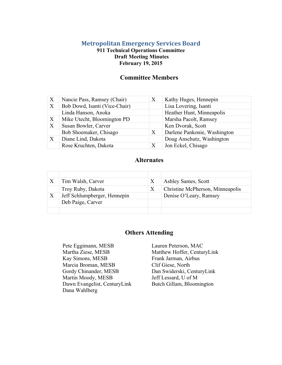#### **Metropolitan Emergency Services Board**

#### **911 Technical Operations Committee Draft Meeting Minutes February 19, 2015**

#### **Committee Members**

| X                         | Nancie Pass, Ramsey (Chair)   | X | Kathy Huges, Hennepin        |
|---------------------------|-------------------------------|---|------------------------------|
| $\boldsymbol{\mathrm{X}}$ | Bob Dowd, Isanti (Vice-Chair) |   | Lisa Lovering, Isanti        |
|                           | Linda Hanson, Anoka           |   | Heather Hunt, Minneapolis    |
| $\boldsymbol{\mathrm{X}}$ | Mike Utecht, Bloomington PD   |   | Marsha Pacolt, Ramsey        |
| X                         | Susan Bowler, Carver          |   | Ken Dvorak, Scott            |
|                           | Bob Shoemaker, Chisago        | X | Darlene Pankonie, Washington |
| $\boldsymbol{\mathrm{X}}$ | Diane Lind, Dakota            |   | Doug Anschutz, Washington    |
|                           | Rose Kruchten, Dakota         |   | Jon Eckel, Chisago           |

#### **Alternates**

|   | Tim Walsh, Carver            | X | Ashley Sames, Scott              |
|---|------------------------------|---|----------------------------------|
|   | Troy Ruby, Dakota            | X | Christine McPherson, Minneapolis |
| X | Jeff Schlumpberger, Hennepin |   | Denise O'Leary, Ramsey           |
|   | Deb Paige, Carver            |   |                                  |
|   |                              |   |                                  |

#### **Others Attending**

Pete Eggimann, MESB Lauren Peterson, MAC Martha Ziese, MESB Matthew Hoffer, CenturyLink Kay Simons, MESB Frank Jarman, Airbus Marcia Broman, MESB Gordy Chinander, MESB Martin Moody, MESB Dawn Evangelist, CenturyLink Dana Wahlberg

Clif Giese, North Dan Swiderski, CenturyLink Jeff Lessard, U of M Butch Gillam, Bloomington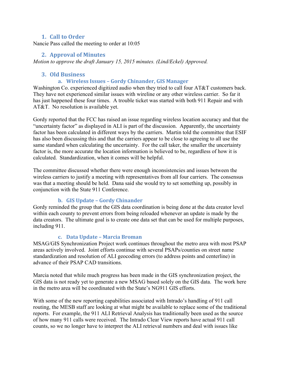#### **1. Call to Order**

Nancie Pass called the meeting to order at 10:05

#### **2. Approval of Minutes**

*Motion to approve the draft January 15, 2015 minutes. (Lind/Eckel) Approved.* 

#### **3. Old Business**

#### **a. Wireless Issues – Gordy Chinander, GIS Manager**

Washington Co. experienced digitized audio when they tried to call four AT&T customers back. They have not experienced similar issues with wireline or any other wireless carrier. So far it has just happened these four times. A trouble ticket was started with both 911 Repair and with AT&T. No resolution is available yet.

Gordy reported that the FCC has raised an issue regarding wireless location accuracy and that the "uncertainty factor" as displayed in ALI is part of the discussion. Apparently, the uncertainty factor has been calculated in different ways by the carriers. Martin told the committee that ESIF has also been discussing this and that the carriers appear to be close to agreeing to all use the same standard when calculating the uncertainty. For the call taker, the smaller the uncertainty factor is, the more accurate the location information is believed to be, regardless of how it is calculated. Standardization, when it comes will be helpful.

The committee discussed whether there were enough inconsistencies and issues between the wireless carriers to justify a meeting with representatives from all four carriers. The consensus was that a meeting should be held. Dana said she would try to set something up, possibly in conjunction with the State 911 Conference.

#### **b. GIS Update – Gordy Chinander**

Gordy reminded the group that the GIS data coordination is being done at the data creator level within each county to prevent errors from being reloaded whenever an update is made by the data creators. The ultimate goal is to create one data set that can be used for multiple purposes, including 911.

#### **c. Data Update – Marcia Broman**

MSAG/GIS Synchronization Project work continues throughout the metro area with most PSAP areas actively involved. Joint efforts continue with several PSAPs/counties on street name standardization and resolution of ALI geocoding errors (to address points and centerline) in advance of their PSAP CAD transitions.

Marcia noted that while much progress has been made in the GIS synchronization project, the GIS data is not ready yet to generate a new MSAG based solely on the GIS data. The work here in the metro area will be coordinated with the State's NG911 GIS efforts.

With some of the new reporting capabilities associated with Intrado's handling of 911 call routing, the MESB staff are looking at what might be available to replace some of the traditional reports. For example, the 911 ALI Retrieval Analysis has traditionally been used as the source of how many 911 calls were received. The Intrado Clear View reports have actual 911 call counts, so we no longer have to interpret the ALI retrieval numbers and deal with issues like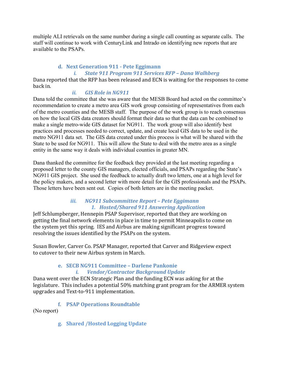multiple ALI retrievals on the same number during a single call counting as separate calls. The staff will continue to work with CenturyLink and Intrado on identifying new reports that are available to the PSAPs.

#### **d. Next Generation 911 - Pete Eggimann**  *i. State 911 Program 911 Services RFP – Dana Walhberg*

Dana reported that the RFP has been released and ECN is waiting for the responses to come back in.

#### *ii. GIS Role in NG911*

Dana told the committee that she was aware that the MESB Board had acted on the committee's recommendation to create a metro area GIS work group consisting of representatives from each of the metro counties and the MESB staff. The purpose of the work group is to reach consensus on how the local GIS data creators should format their data so that the data can be combined to make a single metro-wide GIS dataset for NG911. The work group will also identify best practices and processes needed to correct, update, and create local GIS data to be used in the metro NG911 data set. The GIS data created under this process is what will be shared with the State to be used for NG911. This will allow the State to deal with the metro area as a single entity in the same way it deals with individual counties in greater MN.

Dana thanked the committee for the feedback they provided at the last meeting regarding a proposed letter to the county GIS managers, elected officials, and PSAPs regarding the State's NG911 GIS project. She used the feedback to actually draft two letters, one at a high level for the policy makers, and a second letter with more detail for the GIS professionals and the PSAPs. Those letters have been sent out. Copies of both letters are in the meeting packet.

#### *iii. NG911 Subcommittee Report – Pete Eggimann 1. Hosted/Shared 911 Answering Application*

Jeff Schlumpberger, Hennepin PSAP Supervisor, reported that they are working on getting the final network elements in place in time to permit Minneapolis to come on the system yet this spring. IES and Airbus are making significant progress toward resolving the issues identified by the PSAPs on the system.

Susan Bowler, Carver Co. PSAP Manager, reported that Carver and Ridgeview expect to cutover to their new Airbus system in March.

## **e. SECB NG911 Committee – Darlene Pankonie**

#### *i. Vendor/Contractor Background Update*

Dana went over the ECN Strategic Plan and the funding ECN was asking for at the legislature. This includes a potential 50% matching grant program for the ARMER system upgrades and Text-to-911 implementation.

**f. PSAP Operations Roundtable** 

(No report)

**g. Shared /Hosted Logging Update**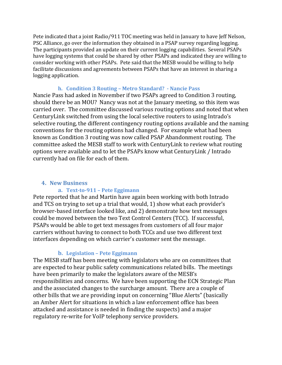Pete indicated that a joint Radio/911 TOC meeting was held in January to have Jeff Nelson, PSC Alliance, go over the information they obtained in a PSAP survey regarding logging. The participants provided an update on their current logging capabilities. Several PSAPs have logging systems that could be shared by other PSAPs and indicated they are willing to consider working with other PSAPs. Pete said that the MESB would be willing to help facilitate discussions and agreements between PSAPs that have an interest in sharing a logging application.

#### **h. Condition 3 Routing – Metro Standard? - Nancie Pass**

Nancie Pass had asked in November if two PSAPs agreed to Condition 3 routing, should there be an MOU? Nancy was not at the January meeting, so this item was carried over. The committee discussed various routing options and noted that when CenturyLink switched from using the local selective routers to using Intrado's selective routing, the different contingency routing options available and the naming conventions for the routing options had changed. For example what had been known as Condition 3 routing was now called PSAP Abandonment routing. The committee asked the MESB staff to work with CenturyLink to review what routing options were available and to let the PSAPs know what CenturyLink / Intrado currently had on file for each of them.

#### **4. New Business**

#### **a. Text-to-911 – Pete Eggimann**

Pete reported that he and Martin have again been working with both Intrado and TCS on trying to set up a trial that would, 1) show what each provider's browser-based interface looked like, and 2) demonstrate how text messages could be moved between the two Text Control Centers (TCC). If successful, PSAPs would be able to get text messages from customers of all four major carriers without having to connect to both TCCs and use two different text interfaces depending on which carrier's customer sent the message.

#### **b. Legislation – Pete Eggimann**

The MESB staff has been meeting with legislators who are on committees that are expected to hear public safety communications related bills. The meetings have been primarily to make the legislators aware of the MESB's responsibilities and concerns. We have been supporting the ECN Strategic Plan and the associated changes to the surcharge amount. There are a couple of other bills that we are providing input on concerning "Blue Alerts" (basically an Amber Alert for situations in which a law enforcement office has been attacked and assistance is needed in finding the suspects) and a major regulatory re-write for VoIP telephony service providers.